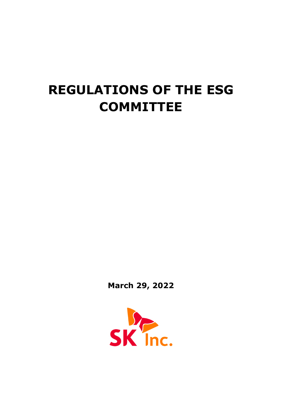# **REGULATIONS OF THE ESG COMMITTEE**

**March 29, 2022**

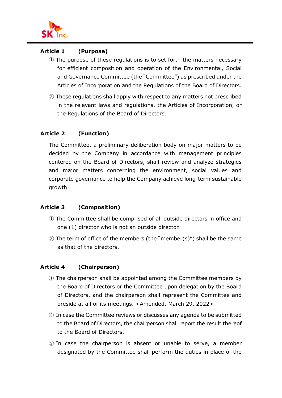

## **Article 1 (Purpose)**

- ① The purpose of these regulations is to set forth the matters necessary for efficient composition and operation of the Environmental, Social and Governance Committee (the "Committee") as prescribed under the Articles of Incorporation and the Regulations of the Board of Directors.
- ② These regulations shall apply with respect to any matters not prescribed in the relevant laws and regulations, the Articles of Incorporation, or the Regulations of the Board of Directors.

# **Article 2 (Function)**

The Committee, a preliminary deliberation body on major matters to be decided by the Company in accordance with management principles centered on the Board of Directors, shall review and analyze strategies and major matters concerning the environment, social values and corporate governance to help the Company achieve long-term sustainable growth.

# **Article 3 (Composition)**

- ① The Committee shall be comprised of all outside directors in office and one (1) director who is not an outside director.
- ② The term of office of the members (the "member(s)") shall be the same as that of the directors.

# **Article 4 (Chairperson)**

- ① The chairperson shall be appointed among the Committee members by the Board of Directors or the Committee upon delegation by the Board of Directors, and the chairperson shall represent the Committee and preside at all of its meetings. <Amended, March 29, 2022>
- ② In case the Committee reviews or discusses any agenda to be submitted to the Board of Directors, the chairperson shall report the result thereof to the Board of Directors.
- ③ In case the chairperson is absent or unable to serve, a member designated by the Committee shall perform the duties in place of the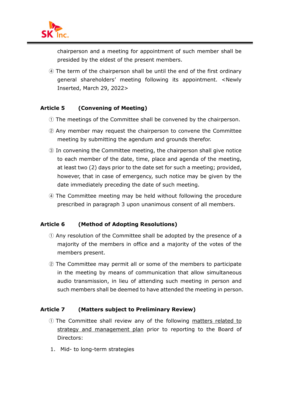

chairperson and a meeting for appointment of such member shall be presided by the eldest of the present members.

④ The term of the chairperson shall be until the end of the first ordinary general shareholders' meeting following its appointment. <Newly Inserted, March 29, 2022>

#### **Article 5 (Convening of Meeting)**

- ① The meetings of the Committee shall be convened by the chairperson.
- ② Any member may request the chairperson to convene the Committee meeting by submitting the agendum and grounds therefor.
- ③ In convening the Committee meeting, the chairperson shall give notice to each member of the date, time, place and agenda of the meeting, at least two (2) days prior to the date set for such a meeting; provided, however, that in case of emergency, such notice may be given by the date immediately preceding the date of such meeting.
- ④ The Committee meeting may be held without following the procedure prescribed in paragraph 3 upon unanimous consent of all members.

#### **Article 6 (Method of Adopting Resolutions)**

- ① Any resolution of the Committee shall be adopted by the presence of a majority of the members in office and a majority of the votes of the members present.
- ② The Committee may permit all or some of the members to participate in the meeting by means of communication that allow simultaneous audio transmission, in lieu of attending such meeting in person and such members shall be deemed to have attended the meeting in person.

#### **Article 7 (Matters subject to Preliminary Review)**

- ① The Committee shall review any of the following matters related to strategy and management plan prior to reporting to the Board of Directors:
- 1. Mid- to long-term strategies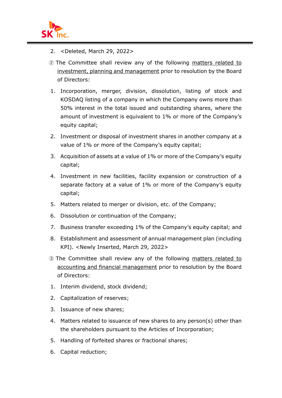

- 2. <Deleted, March 29, 2022>
- ② The Committee shall review any of the following matters related to investment, planning and management prior to resolution by the Board of Directors:
- 1. Incorporation, merger, division, dissolution, listing of stock and KOSDAQ listing of a company in which the Company owns more than 50% interest in the total issued and outstanding shares, where the amount of investment is equivalent to 1% or more of the Company's equity capital;
- 2. Investment or disposal of investment shares in another company at a value of 1% or more of the Company's equity capital;
- 3. Acquisition of assets at a value of 1% or more of the Company's equity capital;
- 4. Investment in new facilities, facility expansion or construction of a separate factory at a value of 1% or more of the Company's equity capital;
- 5. Matters related to merger or division, etc. of the Company;
- 6. Dissolution or continuation of the Company;
- 7. Business transfer exceeding 1% of the Company's equity capital; and
- 8. Establishment and assessment of annual management plan (including KPI). <Newly Inserted, March 29, 2022>
- ③ The Committee shall review any of the following matters related to accounting and financial management prior to resolution by the Board of Directors:
- 1. Interim dividend, stock dividend;
- 2. Capitalization of reserves;
- 3. Issuance of new shares;
- 4. Matters related to issuance of new shares to any person(s) other than the shareholders pursuant to the Articles of Incorporation;
- 5. Handling of forfeited shares or fractional shares;
- 6. Capital reduction;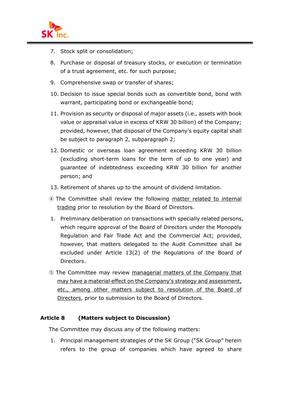

- 7. Stock split or consolidation;
- 8. Purchase or disposal of treasury stocks, or execution or termination of a trust agreement, etc. for such purpose;
- 9. Comprehensive swap or transfer of shares;
- 10. Decision to issue special bonds such as convertible bond, bond with warrant, participating bond or exchangeable bond;
- 11. Provision as security or disposal of major assets (i.e., assets with book value or appraisal value in excess of KRW 30 billion) of the Company; provided, however, that disposal of the Company's equity capital shall be subject to paragraph 2, subparagraph 2;
- 12. Domestic or overseas loan agreement exceeding KRW 30 billion (excluding short-term loans for the term of up to one year) and guarantee of indebtedness exceeding KRW 30 billion for another person; and
- 13. Retirement of shares up to the amount of dividend limitation.
- ④ The Committee shall review the following matter related to internal trading prior to resolution by the Board of Directors.
- 1. Preliminary deliberation on transactions with specially related persons, which require approval of the Board of Directors under the Monopoly Regulation and Fair Trade Act and the Commercial Act; provided, however, that matters delegated to the Audit Committee shall be excluded under Article 13(2) of the Regulations of the Board of Directors.
- ⑤ The Committee may review managerial matters of the Company that may have a material effect on the Company's strategy and assessment, etc., among other matters subject to resolution of the Board of Directors, prior to submission to the Board of Directors.

#### **Article 8 (Matters subject to Discussion)**

The Committee may discuss any of the following matters:

1. Principal management strategies of the SK Group ("SK Group" herein refers to the group of companies which have agreed to share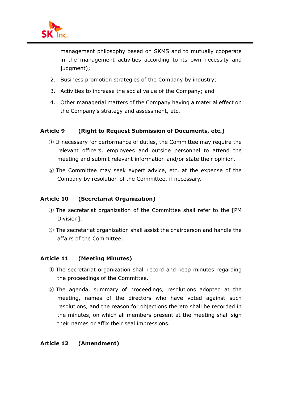

management philosophy based on SKMS and to mutually cooperate in the management activities according to its own necessity and judgment);

- 2. Business promotion strategies of the Company by industry;
- 3. Activities to increase the social value of the Company; and
- 4. Other managerial matters of the Company having a material effect on the Company's strategy and assessment, etc.

# **Article 9 (Right to Request Submission of Documents, etc.)**

- ① If necessary for performance of duties, the Committee may require the relevant officers, employees and outside personnel to attend the meeting and submit relevant information and/or state their opinion.
- ② The Committee may seek expert advice, etc. at the expense of the Company by resolution of the Committee, if necessary.

## **Article 10 (Secretariat Organization)**

- ① The secretariat organization of the Committee shall refer to the [PM Division].
- ② The secretariat organization shall assist the chairperson and handle the affairs of the Committee.

#### **Article 11 (Meeting Minutes)**

- ① The secretariat organization shall record and keep minutes regarding the proceedings of the Committee.
- ② The agenda, summary of proceedings, resolutions adopted at the meeting, names of the directors who have voted against such resolutions, and the reason for objections thereto shall be recorded in the minutes, on which all members present at the meeting shall sign their names or affix their seal impressions.

#### **Article 12 (Amendment)**